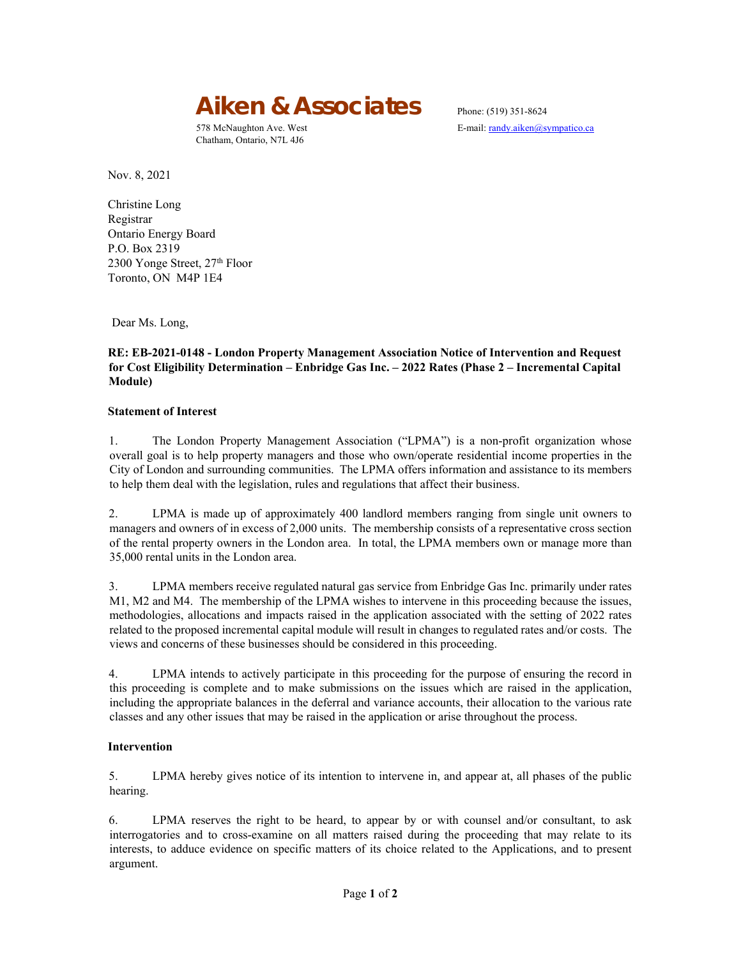

Chatham, Ontario, N7L 4J6

578 McNaughton Ave. West E-mail: randy.aiken@sympatico.ca

Nov. 8, 2021

Christine Long Registrar Ontario Energy Board P.O. Box 2319 2300 Yonge Street,  $27<sup>th</sup>$  Floor Toronto, ON M4P 1E4

Dear Ms. Long,

# **RE: EB-2021-0148 - London Property Management Association Notice of Intervention and Request for Cost Eligibility Determination – Enbridge Gas Inc. – 2022 Rates (Phase 2 – Incremental Capital Module)**

### **Statement of Interest**

1. The London Property Management Association ("LPMA") is a non-profit organization whose overall goal is to help property managers and those who own/operate residential income properties in the City of London and surrounding communities. The LPMA offers information and assistance to its members to help them deal with the legislation, rules and regulations that affect their business.

2. LPMA is made up of approximately 400 landlord members ranging from single unit owners to managers and owners of in excess of 2,000 units. The membership consists of a representative cross section of the rental property owners in the London area. In total, the LPMA members own or manage more than 35,000 rental units in the London area.

3. LPMA members receive regulated natural gas service from Enbridge Gas Inc. primarily under rates M1, M2 and M4. The membership of the LPMA wishes to intervene in this proceeding because the issues, methodologies, allocations and impacts raised in the application associated with the setting of 2022 rates related to the proposed incremental capital module will result in changes to regulated rates and/or costs. The views and concerns of these businesses should be considered in this proceeding.

4. LPMA intends to actively participate in this proceeding for the purpose of ensuring the record in this proceeding is complete and to make submissions on the issues which are raised in the application, including the appropriate balances in the deferral and variance accounts, their allocation to the various rate classes and any other issues that may be raised in the application or arise throughout the process.

### **Intervention**

5. LPMA hereby gives notice of its intention to intervene in, and appear at, all phases of the public hearing.

6. LPMA reserves the right to be heard, to appear by or with counsel and/or consultant, to ask interrogatories and to cross-examine on all matters raised during the proceeding that may relate to its interests, to adduce evidence on specific matters of its choice related to the Applications, and to present argument.